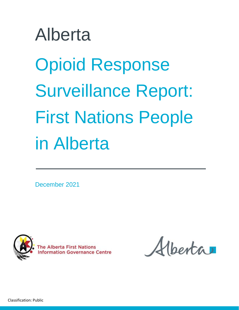# Alberta Opioid Response Surveillance Report: First Nations People in Alberta

December 2021



**Information Governance Centre** 

lberta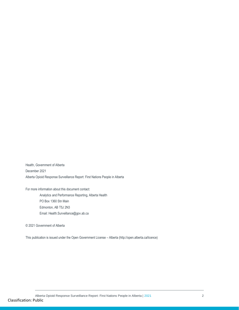Health, Government of Alberta December 2021 Alberta Opioid Response Surveillance Report: First Nations People in Alberta

For more information about this document contact:

Analytics and Performance Reporting, Alberta Health PO Box 1360 Stn Main Edmonton, AB T5J 2N3 Email: Health.Surveillance@gov.ab.ca

© 2021 Government of Alberta

This publication is issued under the Open Government License – Alberta (http://open.alberta.ca/licence)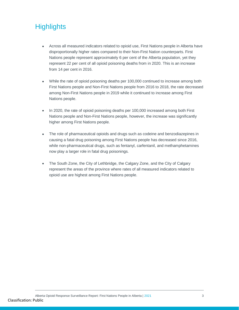# <span id="page-2-0"></span>**Highlights**

- Across all measured indicators related to opioid use, First Nations people in Alberta have disproportionally higher rates compared to their Non-First Nation counterparts. First Nations people represent approximately 6 per cent of the Alberta population, yet they represent 22 per cent of all opioid poisoning deaths from in 2020. This is an increase from 14 per cent in 2016.
- While the rate of opioid poisoning deaths per 100,000 continued to increase among both First Nations people and Non-First Nations people from 2016 to 2018, the rate decreased among Non-First Nations people in 2019 while it continued to increase among First Nations people.
- In 2020, the rate of opioid poisoning deaths per 100,000 increased among both First Nations people and Non-First Nations people, however, the increase was significantly higher among First Nations people.
- The role of pharmaceutical opioids and drugs such as codeine and benzodiazepines in causing a fatal drug poisoning among First Nations people has decreased since 2016, while non-pharmaceutical drugs, such as fentanyl, carfentanil, and methamphetamines now play a larger role in fatal drug poisonings.
- The South Zone, the City of Lethbridge, the Calgary Zone, and the City of Calgary represent the areas of the province where rates of all measured indicators related to opioid use are highest among First Nations people.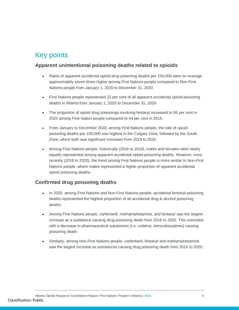## <span id="page-3-0"></span>Key points

## **Apparent unintentional poisoning deaths related to opioids**

- Rates of apparent accidental opioid drug poisoning deaths per 100,000 were on average approximately seven times higher among First Nations people compared to Non-First Nations people from January 1, 2020 to December 31, 2020.
- First Nations people represented 22 per cent of all apparent accidental opioid poisoning deaths in Alberta from January 1, 2020 to December 31, 2020.
- The proportion of opioid drug poisonings involving fentanyl increased to 95 per cent in 2020 among First Nation people compared to 44 per cent in 2016.
- From January to December 2020, among First Nations people, the rate of opioid poisoning deaths per 100,000 was highest in the Calgary Zone, followed by the South Zone, which both saw significant increases from 2019 to 2020.
- Among First Nations people, historically (2016 to 2018), males and females were nearly equally represented among apparent accidental opioid poisoning deaths. However, more recently (2019 to 2020), the trend among First Nations people is more similar to Non-First Nations people, where males represented a higher proportion of apparent accidental opioid poisoning deaths.

## **Confirmed drug poisoning deaths**

- In 2020, among First Nations and Non-First Nations people, accidental fentanyl poisoning deaths represented the highest proportion of all accidental drug & alcohol poisoning deaths.
- Among First Nations people, carfentanil, methamphetamine, and fentanyl saw the largest increase as a substance causing drug poisoning death from 2016 to 2020. This coincided with a decrease in pharmaceutical substances (i.e. codeine, benzodiazepines) causing poisoning death.
- Similarly, among Non-First Nations people, carfentanil, fentanyl and methamphetamine saw the largest increase as substances causing drug poisoning death from 2016 to 2020.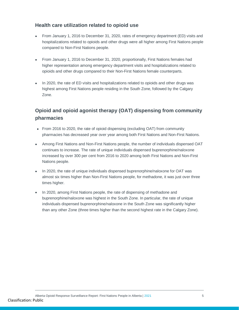### **Health care utilization related to opioid use**

- From January 1, 2016 to December 31, 2020, rates of emergency department (ED) visits and hospitalizations related to opioids and other drugs were all higher among First Nations people compared to Non-First Nations people.
- From January 1, 2016 to December 31, 2020, proportionally, First Nations females had higher representation among emergency department visits and hospitalizations related to opioids and other drugs compared to their Non-First Nations female counterparts.
- In 2020, the rate of ED visits and hospitalizations related to opioids and other drugs was highest among First Nations people residing in the South Zone, followed by the Calgary Zone.

## **Opioid and opioid agonist therapy (OAT) dispensing from community pharmacies**

- From 2016 to 2020, the rate of opioid dispensing (excluding OAT) from community pharmacies has decreased year over year among both First Nations and Non-First Nations.
- Among First Nations and Non-First Nations people, the number of individuals dispensed OAT continues to increase. The rate of unique individuals dispensed buprenorphine/naloxone increased by over 300 per cent from 2016 to 2020 among both First Nations and Non-First Nations people.
- In 2020, the rate of unique individuals dispensed buprenorphine/naloxone for OAT was almost six times higher than Non-First Nations people, for methadone, it was just over three times higher.
- In 2020, among First Nations people, the rate of dispensing of methadone and buprenorphine/naloxone was highest in the South Zone. In particular, the rate of unique individuals dispensed buprenorphine/naloxone in the South Zone was significantly higher than any other Zone (three times higher than the second highest rate in the Calgary Zone).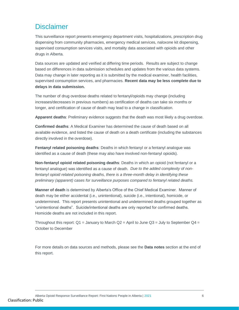## <span id="page-5-0"></span>**Disclaimer**

This surveillance report presents emergency department visits, hospitalizations, prescription drug dispensing from community pharmacies, emergency medical services, naloxone kit dispensing, supervised consumption services visits, and mortality data associated with opioids and other drugs in Alberta.

Data sources are updated and verified at differing time periods. Results are subject to change based on differences in data submission schedules and updates from the various data systems. Data may change in later reporting as it is submitted by the medical examiner, health facilities, supervised consumption services, and pharmacies. **Recent data may be less complete due to delays in data submission.** 

The number of drug overdose deaths related to fentanyl/opioids may change (including increases/decreases in previous numbers) as certification of deaths can take six months or longer, and certification of cause of death may lead to a change in classification.

**Apparent deaths**: Preliminary evidence suggests that the death was most likely a drug overdose.

**Confirmed deaths**: A Medical Examiner has determined the cause of death based on all available evidence, and listed the cause of death on a death certificate (including the substances directly involved in the overdose).

**Fentanyl related poisoning deaths**: Deaths in which fentanyl or a fentanyl analogue was identified as a cause of death (these may also have involved non-fentanyl opioids).

**Non-fentanyl opioid related poisoning deaths**: Deaths in which an opioid (not fentanyl or a fentanyl analogue) was identified as a cause of death. *Due to the added complexity of nonfentanyl opioid related poisoning deaths, there is a three-month delay in identifying these preliminary (apparent) cases for surveillance purposes compared to fentanyl related deaths.*

**Manner of death** is determined by Alberta's Office of the Chief Medical Examiner. Manner of death may be either accidental (i.e., unintentional), suicide (i.e., intentional), homicide, or undetermined. This report presents unintentional and undetermined deaths grouped together as "unintentional deaths". Suicide/intentional deaths are only reported for confirmed deaths. Homicide deaths are not included in this report.

Throughout this report:  $Q1 =$  January to March  $Q2 =$  April to June  $Q3 =$  July to September  $Q4 =$ October to December

For more details on data sources and methods, please see the **Data notes** section at the end of this report.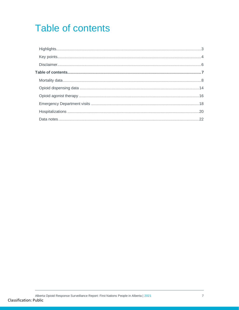# <span id="page-6-0"></span>**Table of contents**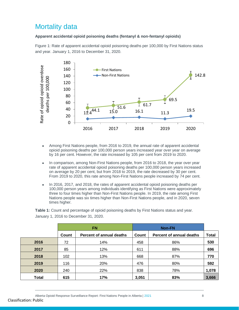## <span id="page-7-0"></span>Mortality data

#### **Apparent accidental opioid poisoning deaths (fentanyl & non-fentanyl opioids)**

Figure 1: Rate of apparent accidental opioid poisoning deaths per 100,000 by First Nations status and year. January 1, 2016 to December 31, 2020.



- Among First Nations people, from 2016 to 2019, the annual rate of apparent accidental opioid poisoning deaths per 100,000 person years increased year over year on average by 16 per cent. However, the rate increased by 105 per cent from 2019 to 2020.
- In comparison, among Non-First Nations people, from 2016 to 2018, the year over year rate of apparent accidental opioid poisoning deaths per 100,000 person years increased on average by 20 per cent, but from 2018 to 2019, the rate decreased by 30 per cent. From 2019 to 2020, this rate among Non-First Nations people increased by 74 per cent.
- In 2016, 2017, and 2018, the rates of apparent accidental opioid poisoning deaths per 100,000 person years among individuals identifying as First Nations were approximately three to four times higher than Non-First Nations people. In 2019, the rate among First Nations people was six times higher than Non-First Nations people, and in 2020, seven times higher.

**Table 1:** Count and percentage of opioid poisoning deaths by First Nations status and year. January 1, 2016 to December 31, 2020.

|              |       | <b>FN</b>                |       |                                 |              |
|--------------|-------|--------------------------|-------|---------------------------------|--------------|
|              | Count | Percent of annual deaths | Count | <b>Percent of annual deaths</b> | <b>Total</b> |
| 2016         | 72    | 14%                      | 458   | 86%                             | 530          |
| 2017         | 85    | 12%                      | 611   | 88%                             | 696          |
| 2018         | 102   | 13%                      | 668   | 87%                             | 770          |
| 2019         | 116   | 20%                      | 476   | 80%                             | 592          |
| 2020         | 240   | 22%                      | 838   | 78%                             | 1,078        |
| <b>Total</b> | 615   | 17%                      | 3,051 | 83%                             | 3,666        |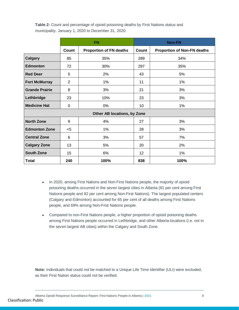**Table 2:** Count and percentage of opioid poisoning deaths by First Nations status and municipality. January 1, 2020 to December 31, 2020.

|                       |                | <b>FN</b>                      |       | <b>Non-FN</b>                      |  |  |  |
|-----------------------|----------------|--------------------------------|-------|------------------------------------|--|--|--|
|                       | Count          | <b>Proportion of FN deaths</b> | Count | <b>Proportion of Non-FN deaths</b> |  |  |  |
| <b>Calgary</b>        | 85             | 35%                            | 289   | 34%                                |  |  |  |
| <b>Edmonton</b>       | 72             | 30%                            | 297   | 35%                                |  |  |  |
| <b>Red Deer</b>       | 5              | 2%                             | 43    | 5%                                 |  |  |  |
| <b>Fort McMurray</b>  | $\overline{2}$ | 1%                             | 11    | 1%                                 |  |  |  |
| <b>Grande Prairie</b> | 8              | 3%                             | 21    | 3%                                 |  |  |  |
| Lethbridge            | 23             | 10%                            | 23    | 3%                                 |  |  |  |
| <b>Medicine Hat</b>   | 0              | 0%                             | 10    | 1%                                 |  |  |  |
|                       |                | Other AB locations, by Zone    |       |                                    |  |  |  |
| <b>North Zone</b>     | 9              | 4%                             | 27    | 3%                                 |  |  |  |
| <b>Edmonton Zone</b>  | $<$ 5          | 1%                             | 28    | 3%                                 |  |  |  |
| <b>Central Zone</b>   | 6              | 3%                             | 57    | 7%                                 |  |  |  |
| <b>Calgary Zone</b>   | 13             | 5%                             | 20    | 2%                                 |  |  |  |
| <b>South Zone</b>     | 15             | 6%                             | 12    | $1\%$                              |  |  |  |
| <b>Total</b>          | 240            | 100%                           | 838   | 100%                               |  |  |  |

- In 2020, among First Nations and Non-First Nations people, the majority of opioid poisoning deaths occurred in the seven largest cities in Alberta (81 per cent among First Nations people and 82 per cent among Non-First Nations). The largest populated centers (Calgary and Edmonton) accounted for 65 per cent of all deaths among First Nations people, and 69% among Non-Frist Nations people.
- Compared to non-First Nations people, a higher proportion of opioid poisoning deaths among First Nations people occurred in Lethbridge, and other Alberta locations (i.e. not in the seven largest AB cities) within the Calgary and South Zone.

**Note:** Individuals that could not be matched to a Unique Life Time Identifier (ULI) were excluded, as their First Nation status could not be verified.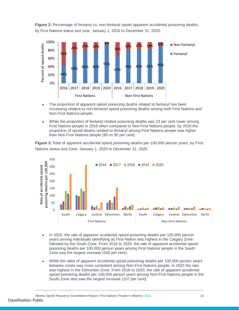**Figure 2:** Percentage of fentanyl vs. non-fentanyl opioid apparent accidental poisoning deaths, by First Nations status and year. January 1, 2016 to December 31, 2020.



- The proportion of apparent opioid poisoning deaths related to fentanyl has been increasing relative to non-fentanyl opioid poisoning deaths among both First Nations and Non-First Nations people.
- While the proportion of fentanyl related poisoning deaths was 23 per cent lower among First Nations people in 2016 when compared to Non-First Nations people, by 2020 the proportion of opioid deaths related to fentanyl among First Nations people was higher than Non-First Nations people (95 vs 90 per cent).

**Figure 3:** Rate of apparent accidental opioid poisoning deaths per 100,000 person years, by First Nations status and Zone. January 1, 2020 to December 31, 2020.



- In 2020, the rate of apparent accidental opioid poisoning deaths per 100,000 person years among individuals identifying as First Nation was highest in the Calgary Zone followed by the South Zone. From 2016 to 2020, the rate of apparent accidental opioid poisoning deaths per 100,000 person years among First Nations people in the South Zone saw the largest increase (540 per cent).
- While the rates of apparent accidental opioid poisoning deaths per 100,000 person years between zones was more consistent among Non-First Nations people, in 2020 the rate was highest in the Edmonton Zone. From 2016 to 2020, the rate of apparent accidental opioid poisoning deaths per 100,000 person years among Non-First Nations people in the South Zone also saw the largest increase (107 per cent).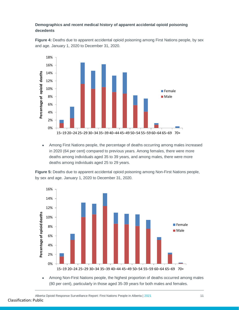#### **Demographics and recent medical history of apparent accidental opioid poisoning decedents**

**Figure 4:** Deaths due to apparent accidental opioid poisoning among First Nations people, by sex and age. January 1, 2020 to December 31, 2020.



 Among First Nations people, the percentage of deaths occurring among males increased in 2020 (64 per cent) compared to previous years. Among females, there were more deaths among individuals aged 35 to 39 years, and among males, there were more deaths among individuals aged 25 to 29 years.

**Figure 5:** Deaths due to apparent accidental opioid poisoning among Non-First Nations people, by sex and age. January 1, 2020 to December 31, 2020.



 Among Non-First Nations people, the highest proportion of deaths occurred among males (80 per cent), particularly in those aged 35-39 years for both males and females.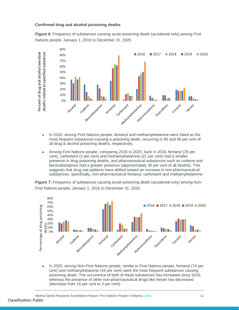#### **Confirmed drug and alcohol poisoning deaths**

**Figure 6**: Frequency of substances causing acute poisoning death (accidental only) among First Nations people, January 1, 2016 to December 31, 2020.



- In 2020, among First Nations people, fentanyl and methamphetamine were listed as the most frequent substances causing a poisoning death, occurring in 80 and 69 per cent of all drug & alcohol poisoning deaths, respectively.
- Among First Nations people, comparing 2016 to 2020, back in 2016, fentanyl (35 per cent), carfentanil (2 per cent) and methamphetamine (21 per cent) had a smaller presence in drug poisoning deaths, and pharmaceutical substances such as codeine and benzodiazepines had a greater presence (approximately 30 per cent of all deaths). This suggests that drug use patterns have shifted toward an increase in non-pharmaceutical substances, specifically, non-pharmaceutical fentanyl, carfentanil and methamphetamine.

**Figure 7:** Frequency of substances causing acute poisoning death (accidental only) among Non-First Nations people, January 1, 2016 to December 31, 2020.



cent) and methamphetamine (44 per cent) were the most frequent substances causing poisoning death. The occurrence of both of these substances has increased since 2016, whereas the presence of other non-pharmaceutical drugs like heroin has decreased (decrease from 15 per cent to 3 per cent).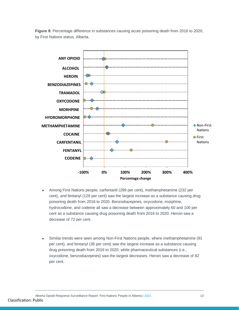



- Among First Nations people, carfentanil (299 per cent), methamphetamine (232 per cent), and fentanyl (129 per cent) saw the largest increase as a substance causing drug poisoning death from 2016 to 2020. Benzodiazepines, oxycodone, morphine, hydrocodone, and codeine all saw a decrease between approximately 60 and 100 per cent as a substance causing drug poisoning death from 2016 to 2020. Heroin saw a decrease of 72 per cent.
- Similar trends were seen among Non-First Nations people, where methamphetamine (91 per cent), and fentanyl (36 per cent) saw the largest increase as a substance causing drug poisoning death from 2016 to 2020, while pharmaceutical substances (i.e., oxycodone, benzodiazepines) saw the largest decreases. Heroin saw a decrease of 82 per cent.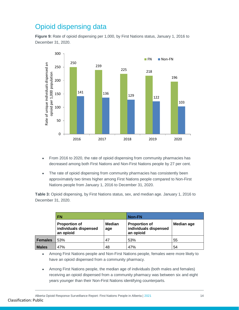# <span id="page-13-0"></span>Opioid dispensing data

**Figure 9:** Rate of opioid dispensing per 1,000, by First Nations status, January 1, 2016 to December 31, 2020.



- From 2016 to 2020, the rate of opioid dispensing from community pharmacies has decreased among both First Nations and Non-First Nations people by 27 per cent.
- The rate of opioid dispensing from community pharmacies has consistently been approximately two times higher among First Nations people compared to Non-First Nations people from January 1, 2016 to December 31, 2020.

**Table 3:** Opioid dispensing, by First Nations status, sex, and median age. January 1, 2016 to December 31, 2020.

|                | <b>FN</b>                                                                          |    | <b>Non-FN</b>                                              |            |  |
|----------------|------------------------------------------------------------------------------------|----|------------------------------------------------------------|------------|--|
|                | <b>Median</b><br><b>Proportion of</b><br>individuals dispensed<br>age<br>an opioid |    | <b>Proportion of</b><br>individuals dispensed<br>an opioid | Median age |  |
| <b>Females</b> | 53%                                                                                | 47 | 53%                                                        | 55         |  |
| <b>Males</b>   | 47%                                                                                | 48 | 47%                                                        | 54         |  |

 Among First Nations people and Non-First Nations people, females were more likely to have an opioid dispensed from a community pharmacy.

 Among First Nations people, the median age of individuals (both males and females) receiving an opioid dispensed from a community pharmacy was between six and eight years younger than their Non-First Nations identifying counterparts.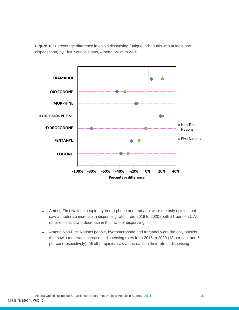**Figure 10:** Percentage difference in opioid dispensing (unique individuals with at least one dispensation) by First Nations status, Alberta, 2016 to 2020.



- Among First Nations people, hydromorphone and tramadol were the only opioids that saw a moderate increase in dispensing rates from 2016 to 2020 (both 21 per cent). All other opioids saw a decrease in their rate of dispensing.
- Among Non-First Nations people, hydromorphone and tramadol were the only opioids that saw a moderate increase in dispensing rates from 2016 to 2020 (18 per cent and 5 per cent respectively). All other opioids saw a decrease in their rate of dispensing.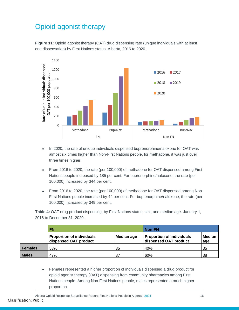## <span id="page-15-0"></span>Opioid agonist therapy





- In 2020, the rate of unique individuals dispensed buprenorphine/naloxone for OAT was almost six times higher than Non-First Nations people, for methadone, it was just over three times higher.
- From 2016 to 2020, the rate (per 100,000) of methadone for OAT dispensed among First Nations people increased by 185 per cent. For buprenorphine/naloxone, the rate (per 100,000) increased by 344 per cent.
- From 2016 to 2020, the rate (per 100,000) of methadone for OAT dispensed among Non-First Nations people increased by 44 per cent. For buprenorphine/naloxone, the rate (per 100,000) increased by 349 per cent.

**Table 4:** OAT drug product dispensing, by First Nations status, sex, and median age. January 1, 2016 to December 31, 2020.

|                | FN.                                                       | Non-FN     |                                                           |               |
|----------------|-----------------------------------------------------------|------------|-----------------------------------------------------------|---------------|
|                | <b>Proportion of individuals</b><br>dispensed OAT product | Median age | <b>Proportion of individuals</b><br>dispensed OAT product | Median<br>age |
| <b>Females</b> | 53%                                                       | 35         | 40%                                                       | 35            |
| <b>Males</b>   | 47%                                                       | 37         | 60%                                                       | 38            |

 Females represented a higher proportion of individuals dispensed a drug product for opioid agonist therapy (OAT) dispensing from community pharmacies among First Nations people. Among Non-First Nations people, males represented a much higher proportion.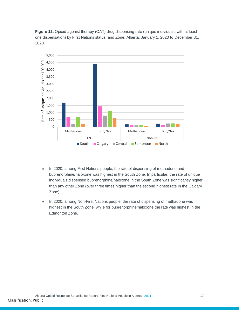**Figure 12:** Opioid agonist therapy (OAT) drug dispensing rate (unique individuals with at least one dispensation) by First Nations status, and Zone, Alberta, January 1, 2020 to December 31, 2020.



- In 2020, among First Nations people, the rate of dispensing of methadone and buprenorphine/naloxone was highest in the South Zone. In particular, the rate of unique individuals dispensed buprenorphine/naloxone in the South Zone was significantly higher than any other Zone (over three times higher than the second highest rate in the Calgary Zone).
- In 2020, among Non-First Nations people, the rate of dispensing of methadone was highest in the South Zone, while for buprenorphine/naloxone the rate was highest in the Edmonton Zone.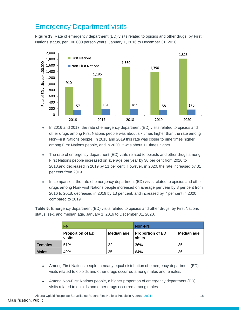## <span id="page-17-0"></span>Emergency Department visits

**Figure 13**: Rate of emergency department (ED) visits related to opioids and other drugs, by First Nations status, per 100,000 person years. January 1, 2016 to December 31, 2020**.**



- In 2016 and 2017, the rate of emergency department (ED) visits related to opioids and other drugs among First Nations people was about six times higher than the rate among Non-First Nations people. In 2018 and 2019 this rate was closer to nine times higher among First Nations people, and in 2020, it was about 11 times higher.
- The rate of emergency department (ED) visits related to opioids and other drugs among First Nations people increased on average per year by 30 per cent from 2016 to 2018,and decreased in 2019 by 11 per cent. However, in 2020, the rate increased by 31 per cent from 2019.
- In comparison, the rate of emergency department (ED) visits related to opioids and other drugs among Non-First Nations people increased on average per year by 8 per cent from 2016 to 2018, decreased in 2019 by 13 per cent, and increased by 7 per cent in 2020 compared to 2019.

**Table 5:** Emergency department (ED) visits related to opioids and other drugs, by First Nations status, sex, and median age. January 1, 2016 to December 31, 2020.

|                | <b>FN</b>                         |                   | <b>Non-FN</b>                     |            |  |
|----------------|-----------------------------------|-------------------|-----------------------------------|------------|--|
|                | <b>Proportion of ED</b><br>visits | <b>Median age</b> | <b>Proportion of ED</b><br>visits | Median age |  |
| <b>Females</b> | 51%                               | 32                | 36%                               | 35         |  |
| <b>Males</b>   | 49%                               | 35                | 64%                               | 36         |  |

- Among First Nations people, a nearly equal distribution of emergency department (ED) visits related to opioids and other drugs occurred among males and females.
- Among Non-First Nations people, a higher proportion of emergency department (ED) visits related to opioids and other drugs occurred among males.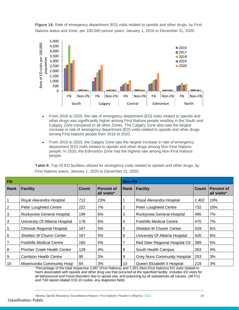

**Figure 14:** Rate of emergency department (ED) visits related to opioids and other drugs, by First Nations status and Zone, per 100,000 person years. January 1, 2016 to December 31, 2020.

- From 2016 to 2020, the rate of emergency department (ED) visits related to opioids and other drugs was significantly higher among First Nations people residing in the South and Calgary Zone compared to all other Zones. The Calgary Zone also saw the largest increase in rate of emergency department (ED) visits related to opioids and other drugs among First Nations people from 2016 to 2020.
- From 2016 to 2020, the Calgary Zone saw the largest increase in rate of emergency department (ED) visits related to opioids and other drugs among Non-First Nations people. In 2020, the Edmonton Zone had the highest rate among Non-First Nations people.

| FN              |                                    |              |                           | <b>Non-FN</b>  |                                     |       |                                  |
|-----------------|------------------------------------|--------------|---------------------------|----------------|-------------------------------------|-------|----------------------------------|
| Rank            | <b>Facility</b>                    | <b>Count</b> | Percent of<br>all visits* | Rank           | <b>Facility</b>                     | Count | <b>Percent of</b><br>all visits* |
| 1               | Royal Alexandra Hospital           | 712          | 23%                       |                | Royal Alexandra Hospital            | 1,402 | 19%                              |
| $\overline{2}$  | Peter Lougheed Centre              | 222          | 7%                        | 2              | Peter Lougheed Centre               | 732   | 10%                              |
| 3               | Rockyview General Hospital         | 199          | 6%                        | 3              | Rockyview General Hospital          | 495   | 7%                               |
| 4               | University Of Alberta Hospital     | 178          | 6%                        | 4              | <b>Foothills Medical Centre</b>     | 475   | 7%                               |
| 5               | <b>Chinook Regional Hospital</b>   | 167          | 5%                        | $\overline{5}$ | Sheldon M Chumir Center             | 429   | 6%                               |
| $6 \overline{}$ | Sheldon M Chumir Center            | 167          | 5%                        | 6              | University Of Alberta Hospital      | 426   | 6%                               |
| 7               | <b>Foothills Medical Centre</b>    | 160          | 5%                        |                | Red Deer Regional Hospital Ctr      | 389   | 5%                               |
| 8               | <b>Pincher Creek Health Centre</b> | 129          | 4%                        | 8              | South Health Campus                 | 263   | 4%                               |
| 9               | <b>Cardston Health Centre</b>      | 90           | 3%                        | 9              | <b>Grey Nuns Community Hospital</b> | 253   | 3%                               |
| 10              | Misericordia Community Hosp        | 84           | 3%                        | 10             | Queen Elizabeth II Hospital         | 219   | 3%                               |

**Table 6:** Top 10 ED facilities utilized for emergency visits related to opioids and other drugs, by First Nations status. January 1, 2020 to December 31, 2020.

\*Percentage of the total respective 3,067 (First Nations) and 7,301 (Non-First Nations) ED visits related to harm associated with opioids and other drug use that occurred at the specified facility. Includes ED visits for all behavioural and mood disorders due to opioid use, and poisoning by all substances-all causes. (All F11 and T40 opioid related ICD-10 codes, any diagnosis field)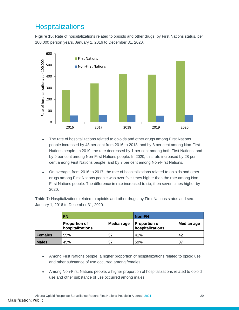## <span id="page-19-0"></span>**Hospitalizations**

**Figure 15:** Rate of hospitalizations related to opioids and other drugs, by First Nations status, per 100,000 person years. January 1, 2016 to December 31, 2020.



- The rate of hospitalizations related to opioids and other drugs among First Nations people increased by 48 per cent from 2016 to 2018, and by 8 per cent among Non-First Nations people. In 2019, the rate decreased by 1 per cent among both First Nations, and by 9 per cent among Non-First Nations people. In 2020, this rate increased by 28 per cent among First Nations people, and by 7 per cent among Non-First Nations.
- On average, from 2016 to 2017, the rate of hospitalizations related to opioids and other drugs among First Nations people was over five times higher than the rate among Non-First Nations people. The difference in rate increased to six, then seven times higher by 2020.

**Table 7:** Hospitalizations related to opioids and other drugs, by First Nations status and sex. January 1, 2016 to December 31, 2020.

|                | <b>FN</b>                                |                   | Non-FN                                   |                   |  |
|----------------|------------------------------------------|-------------------|------------------------------------------|-------------------|--|
|                | <b>Proportion of</b><br>hospitalizations | <b>Median age</b> | <b>Proportion of</b><br>hospitalizations | <b>Median age</b> |  |
| <b>Females</b> | 55%                                      | 37                | 41%                                      | 42                |  |
| <b>Males</b>   | 45%                                      | 37                | 59%                                      | 37                |  |

- Among First Nations people, a higher proportion of hospitalizations related to opioid use and other substance of use occurred among females.
- Among Non-First Nations people, a higher proportion of hospitalizations related to opioid use and other substance of use occurred among males.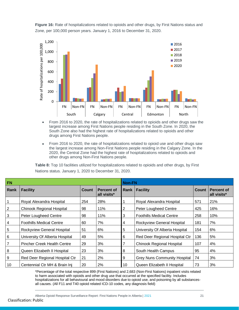

**Figure 16:** Rate of hospitalizations related to opioids and other drugs, by First Nations status and Zone, per 100,000 person years. January 1, 2016 to December 31, 2020.

- From 2016 to 2020, the rate of hospitalizations related to opioids and other drugs saw the largest increase among First Nations people residing in the South Zone. In 2020, the South Zone also had the highest rate of hospitalizations related to opioids and other drugs among First Nations people.
- From 2016 to 2020, the rate of hospitalizations related to opioid use and other drugs saw the largest increase among Non-First Nations people residing in the Calgary Zone. In the 2020, the Central Zone had the highest rate of hospitalizations related to opioids and other drugs among Non-First Nations people.

**Table 8:** Top 10 facilities utilized for hospitalizations related to opioids and other drugs, by First Nations status. January 1, 2020 to December 31, 2020.

| <b>FN</b>      |                                    |              | <b>Non-FN</b>                    |                |                                     |              |                                  |
|----------------|------------------------------------|--------------|----------------------------------|----------------|-------------------------------------|--------------|----------------------------------|
| Rank           | <b>Facility</b>                    | <b>Count</b> | <b>Percent of</b><br>all visits* | Rank           | <b>Facility</b>                     | <b>Count</b> | <b>Percent of</b><br>all visits* |
|                | Royal Alexandra Hospital           | 254          | 28%                              |                | Royal Alexandra Hospital            | 571          | 21%                              |
| $\overline{2}$ | <b>Chinook Regional Hospital</b>   | 98           | 11%                              | 2              | Peter Lougheed Centre               | 425          | 16%                              |
| $\mathbf{3}$   | Peter Lougheed Centre              | 98           | 11%                              | 3              | <b>Foothills Medical Centre</b>     | 258          | 10%                              |
| 4              | <b>Foothills Medical Centre</b>    | 60           | 7%                               | 4              | Rockyview General Hospital          | 181          | 7%                               |
| $\overline{5}$ | Rockyview General Hospital         | 51           | 6%                               | 5              | University Of Alberta Hospital      | 154          | 6%                               |
| 6              | University Of Alberta Hospital     | 49           | 5%                               | 6              | Red Deer Regional Hospital Ctr      | 136          | 5%                               |
| $\overline{7}$ | <b>Pincher Creek Health Centre</b> | 29           | 3%                               | $\overline{7}$ | <b>Chinook Regional Hospital</b>    | 107          | 4%                               |
| 8              | Queen Elizabeth II Hospital        | 23           | 3%                               | 8              | South Health Campus                 | 95           | 4%                               |
| 9              | Red Deer Regional Hospital Ctr     | 21           | 2%                               | 9              | <b>Grey Nuns Community Hospital</b> | 74           | 3%                               |
| 10             | Centennial Ctr MH & Brain Inj      | 20           | 2%                               | 10             | Queen Elizabeth II Hospital         | 73           | 3%                               |

\*Percentage of the total respective 899 (First Nations) and 2,683 (Non-First Nations) inpatient visits related to harm associated with opioids and other drug use that occurred at the specified facility. Includes hospitalizations for all behavioural and mood disorders due to opioid use, and poisoning by all substancesall causes. (All F11 and T40 opioid related ICD-10 codes, any diagnosis field)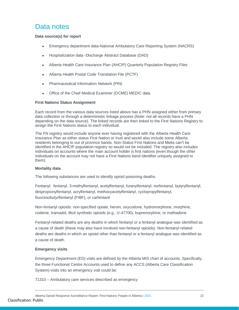## <span id="page-21-0"></span>Data notes

#### **Data source(s) for report**

- Emergency department data-National Ambulatory Care Reporting System (NACRS)
- Hospitalization data -Discharge Abstract Database (DAD)
- Alberta Health Care Insurance Plan (AHCIP) Quarterly Population Registry Files
- Alberta Health Postal Code Translation File (PCTF)
- Pharmaceutical Information Network (PIN)
- Office of the Chief Medical Examiner (OCME) MEDIC data

#### **First Nations Status Assignment**

Each record from the various data sources listed above has a PHN assigned either from primary data collection or through a deterministic linkage process (Note: not all records have a PHN depending on the data source). The linked records are then linked to the First Nations Registry to assign the First Nations status to each individual.

The FN registry would include anyone ever having registered with the Alberta Health Care Insurance Plan as either status First Nation or Inuit and would also include some Alberta residents belonging to out of province bands. Non-Status First Nations and Metis can't be identified in the AHCIP population registry so would not be included. The registry also includes individuals on accounts where the main account holder is first nations (even though the other individuals on the account may not have a First Nations band identifier uniquely assigned to them).

#### **Mortality data**

The following substances are used to identify opioid poisoning deaths.

Fentanyl: fentanyl, 3-methylfentanyl, acetylfentanyl, furanylfentanyl, norfentanyl, butyrylfentanyl, despropionylfentanyl, acrylfentanyl, methoxyacetylfentanyl, cyclopropylfentanyl, fluoroisobutyrlfentanyl (FIBF), or carfentanil

Non-fentanyl opioids: non-specified opiate, heroin, oxycodone, hydromorphone, morphine, codeine, tramadol, illicit synthetic opioids (e.g., U-47700), buprenorphine, or methadone

Fentanyl-related deaths are any deaths in which fentanyl or a fentanyl analogue was identified as a cause of death (these may also have involved non-fentanyl opioids). Non-fentanyl related deaths are deaths in which an opioid other than fentanyl or a fentanyl analogue was identified as a cause of death.

#### **Emergency visits**

Emergency Department (ED) visits are defined by the Alberta MIS chart of accounts. Specifically, the three Functional Centre Accounts used to define any ACCS (Alberta Care Classification System) visits into an emergency visit could be:

71310 – Ambulatory care services described as emergency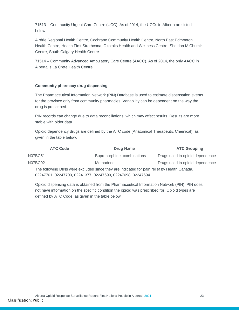71513 – Community Urgent Care Centre (UCC). As of 2014, the UCCs in Alberta are listed below:

Airdrie Regional Health Centre, Cochrane Community Health Centre, North East Edmonton Health Centre, Health First Strathcona, Okotoks Health and Wellness Centre, Sheldon M Chumir Centre, South Calgary Health Centre

71514 – Community Advanced Ambulatory Care Centre (AACC). As of 2014, the only AACC in Alberta is La Crete Health Centre

#### **Community pharmacy drug dispensing**

The Pharmaceutical Information Network (PIN) Database is used to estimate dispensation events for the province only from community pharmacies. Variability can be dependent on the way the drug is prescribed.

PIN records can change due to data reconciliations, which may affect results. Results are more stable with older data.

Opioid dependency drugs are defined by the ATC code (Anatomical Therapeutic Chemical), as given in the table below.

| <b>ATC Code</b> | <b>Drug Name</b>            | <b>ATC Grouping</b>             |  |
|-----------------|-----------------------------|---------------------------------|--|
| N07BC51         | Buprenorphine, combinations | Drugs used in opioid dependence |  |
| N07BC02         | Methadone                   | Drugs used in opioid dependence |  |

The following DINs were excluded since they are indicated for pain relief by Health Canada. 02247701, 02247700, 02241377, 02247699, 02247698, 02247694

Opioid dispensing data is obtained from the Pharmaceutical Information Network (PIN). PIN does not have information on the specific condition the opioid was prescribed for. Opioid types are defined by ATC Code, as given in the table below.